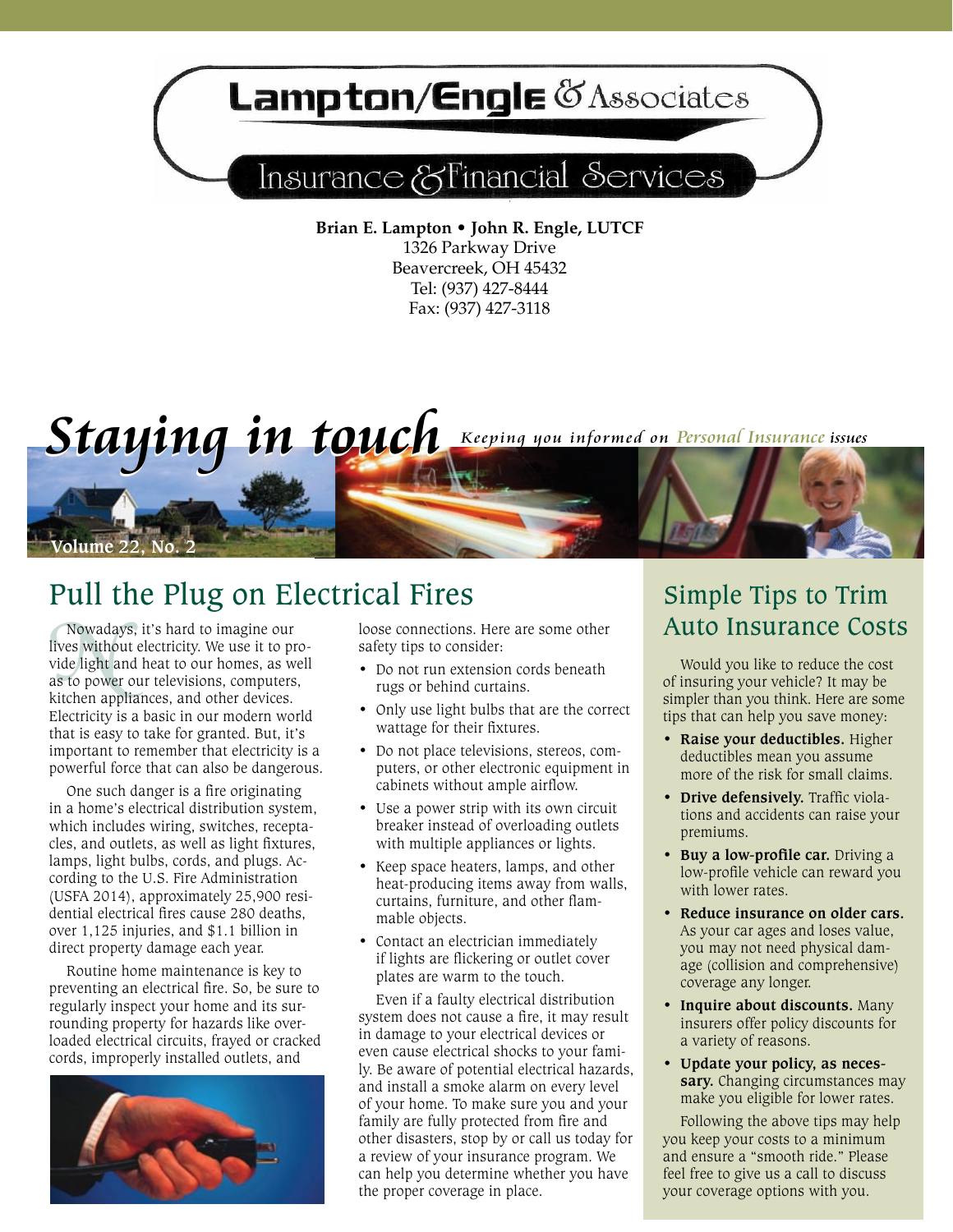## **Lampton/Engle @Associates**

## Insurance & Financial Services

**Brian E. Lampton • John R. Engle, LUTCF** 1326 Parkway Drive Beavercreek, OH 45432 Tel: (937) 427-8444 Fax: (937) 427-3118



## Pull the Plug on Electrical Fires

Nowaday<br>lives withou<br>vide light ar<br>as to power<br>kitchen app Nowadays, it's hard to imagine our lives without electricity. We use it to provide light and heat to our homes, as well as to power our televisions, computers, kitchen appliances, and other devices. Electricity is a basic in our modern world that is easy to take for granted. But, it's important to remember that electricity is a powerful force that can also be dangerous.

One such danger is a fire originating in a home's electrical distribution system, which includes wiring, switches, receptacles, and outlets, as well as light fixtures, lamps, light bulbs, cords, and plugs. According to the U.S. Fire Administration (USFA 2014), approximately 25,900 residential electrical fires cause 280 deaths, over 1,125 injuries, and \$1.1 billion in direct property damage each year.

Routine home maintenance is key to preventing an electrical fire. So, be sure to regularly inspect your home and its surrounding property for hazards like overloaded electrical circuits, frayed or cracked cords, improperly installed outlets, and



loose connections. Here are some other safety tips to consider:

- Do not run extension cords beneath rugs or behind curtains.
- Only use light bulbs that are the correct wattage for their fixtures.
- • Do not place televisions, stereos, computers, or other electronic equipment in cabinets without ample airflow.
- Use a power strip with its own circuit breaker instead of overloading outlets with multiple appliances or lights.
- Keep space heaters, lamps, and other heat-producing items away from walls, curtains, furniture, and other flammable objects.
- Contact an electrician immediately if lights are flickering or outlet cover plates are warm to the touch.

Even if a faulty electrical distribution system does not cause a fire, it may result in damage to your electrical devices or even cause electrical shocks to your family. Be aware of potential electrical hazards, and install a smoke alarm on every level of your home. To make sure you and your family are fully protected from fire and other disasters, stop by or call us today for a review of your insurance program. We can help you determine whether you have the proper coverage in place.

## Simple Tips to Trim Auto Insurance Costs

Would you like to reduce the cost of insuring your vehicle? It may be simpler than you think. Here are some tips that can help you save money:

- **• Raise your deductibles.** Higher deductibles mean you assume more of the risk for small claims.
- **• Drive defensively.** Traffic violations and accidents can raise your premiums.
- **• Buy a low-profile car.** Driving a low-profile vehicle can reward you with lower rates.
- **• Reduce insurance on older cars.** As your car ages and loses value, you may not need physical damage (collision and comprehensive) coverage any longer.
- **• Inquire about discounts.** Many insurers offer policy discounts for a variety of reasons.
- **• Update your policy, as necessary.** Changing circumstances may make you eligible for lower rates.

Following the above tips may help you keep your costs to a minimum and ensure a "smooth ride." Please feel free to give us a call to discuss your coverage options with you.